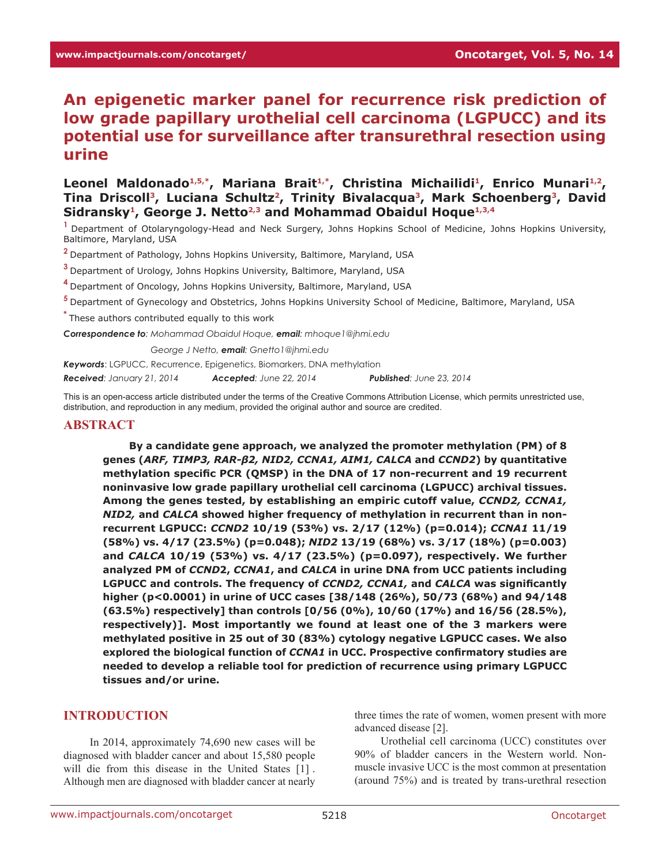# **An epigenetic marker panel for recurrence risk prediction of low grade papillary urothelial cell carcinoma (LGPUCC) and its potential use for surveillance after transurethral resection using urine**

#### Leonel Maldonado<sup>1,5,\*</sup>, Mariana Brait<sup>1,\*</sup>, Christina Michailidi<sup>1</sup>, Enrico Munari<sup>1,2</sup>, Tina Driscoll<sup>3</sup>, Luciana Schultz<sup>2</sup>, Trinity Bivalacqua<sup>3</sup>, Mark Schoenberg<sup>3</sup>, David Sidransky<sup>1</sup>, George J. Netto<sup>2,3</sup> and Mohammad Obaidul Hoque<sup>1,3,4</sup>

**<sup>1</sup>**Department of Otolaryngology-Head and Neck Surgery, Johns Hopkins School of Medicine, Johns Hopkins University, Baltimore, Maryland, USA

**<sup>2</sup>**Department of Pathology, Johns Hopkins University, Baltimore, Maryland, USA

**<sup>3</sup>**Department of Urology, Johns Hopkins University, Baltimore, Maryland, USA

**<sup>4</sup>**Department of Oncology, Johns Hopkins University, Baltimore, Maryland, USA

**<sup>5</sup>**Department of Gynecology and Obstetrics, Johns Hopkins University School of Medicine, Baltimore, Maryland, USA

**\*** These authors contributed equally to this work

*Correspondence to: Mohammad Obaidul Hoque, email: mhoque1@jhmi.edu*

*Correspondence to: George J Netto, email: Gnetto1@jhmi.edu*

*Keywords*: LGPUCC, Recurrence, Epigenetics, Biomarkers, DNA methylation

*Received: January 21, 2014 Accepted: June 22, 2014 Published: June 23, 2014*

This is an open-access article distributed under the terms of the Creative Commons Attribution License, which permits unrestricted use, distribution, and reproduction in any medium, provided the original author and source are credited.

#### **ABSTRACT**

**By a candidate gene approach, we analyzed the promoter methylation (PM) of 8 genes (***ARF, TIMP3, RAR-β2, NID2, CCNA1, AIM1, CALCA* **and** *CCND2***) by quantitative methylation specific PCR (QMSP) in the DNA of 17 non-recurrent and 19 recurrent noninvasive low grade papillary urothelial cell carcinoma (LGPUCC) archival tissues. Among the genes tested, by establishing an empiric cutoff value,** *CCND2, CCNA1, NID2,* **and** *CALCA* **showed higher frequency of methylation in recurrent than in nonrecurrent LGPUCC:** *CCND2* **10/19 (53%) vs. 2/17 (12%) (p=0.014);** *CCNA1* **11/19 (58%) vs. 4/17 (23.5%) (p=0.048);** *NID2* **13/19 (68%) vs. 3/17 (18%) (p=0.003) and** *CALCA* **10/19 (53%) vs. 4/17 (23.5%) (p=0.097), respectively. We further analyzed PM of** *CCND***2,** *CCNA1***, and** *CALCA* **in urine DNA from UCC patients including LGPUCC and controls. The frequency of** *CCND2, CCNA1,* **and** *CALCA* **was significantly higher (p<0.0001) in urine of UCC cases [38/148 (26%), 50/73 (68%) and 94/148 (63.5%) respectively] than controls [0/56 (0%), 10/60 (17%) and 16/56 (28.5%), respectively)]. Most importantly we found at least one of the 3 markers were methylated positive in 25 out of 30 (83%) cytology negative LGPUCC cases. We also explored the biological function of** *CCNA1* **in UCC. Prospective confirmatory studies are needed to develop a reliable tool for prediction of recurrence using primary LGPUCC tissues and/or urine.**

#### **INTRODUCTION**

In 2014, approximately 74,690 new cases will be diagnosed with bladder cancer and about 15,580 people will die from this disease in the United States [1] . Although men are diagnosed with bladder cancer at nearly

three times the rate of women, women present with more advanced disease [2].

Urothelial cell carcinoma (UCC) constitutes over 90% of bladder cancers in the Western world. Nonmuscle invasive UCC is the most common at presentation (around 75%) and is treated by trans-urethral resection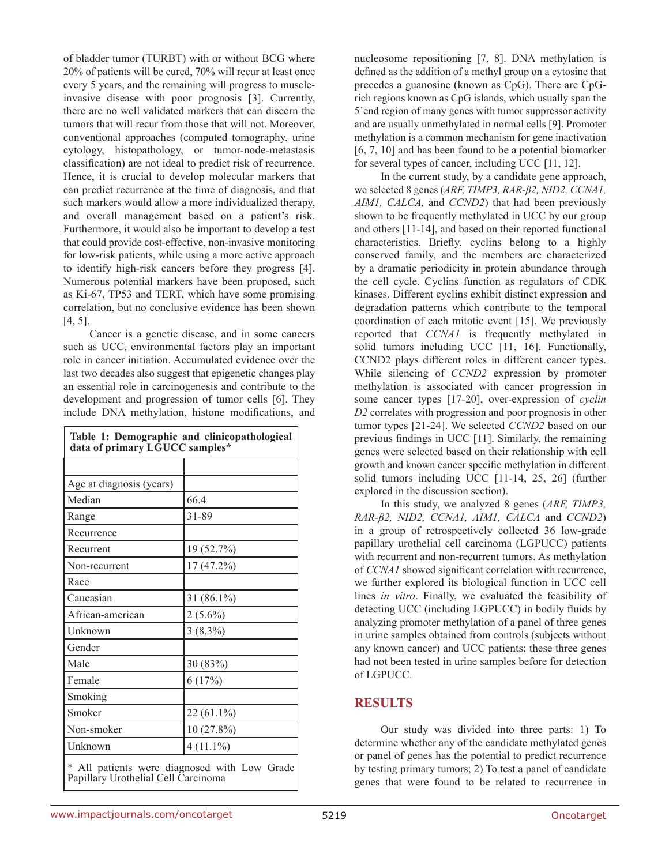of bladder tumor (TURBT) with or without BCG where 20% of patients will be cured, 70% will recur at least once every 5 years, and the remaining will progress to muscleinvasive disease with poor prognosis [3]. Currently, there are no well validated markers that can discern the tumors that will recur from those that will not. Moreover, conventional approaches (computed tomography, urine cytology, histopathology, or tumor-node-metastasis classification) are not ideal to predict risk of recurrence. Hence, it is crucial to develop molecular markers that can predict recurrence at the time of diagnosis, and that such markers would allow a more individualized therapy, and overall management based on a patient's risk. Furthermore, it would also be important to develop a test that could provide cost-effective, non-invasive monitoring for low-risk patients, while using a more active approach to identify high-risk cancers before they progress [4]. Numerous potential markers have been proposed, such as Ki-67, TP53 and TERT, which have some promising correlation, but no conclusive evidence has been shown [4, 5].

Cancer is a genetic disease, and in some cancers such as UCC, environmental factors play an important role in cancer initiation. Accumulated evidence over the last two decades also suggest that epigenetic changes play an essential role in carcinogenesis and contribute to the development and progression of tumor cells [6]. They include DNA methylation, histone modifications, and

| Table 1: Demographic and clinicopathological<br>data of primary LGUCC samples*      |               |  |  |  |  |  |
|-------------------------------------------------------------------------------------|---------------|--|--|--|--|--|
|                                                                                     |               |  |  |  |  |  |
| Age at diagnosis (years)                                                            |               |  |  |  |  |  |
| Median                                                                              | 66.4          |  |  |  |  |  |
| Range                                                                               | 31-89         |  |  |  |  |  |
| Recurrence                                                                          |               |  |  |  |  |  |
| Recurrent                                                                           | 19 (52.7%)    |  |  |  |  |  |
| Non-recurrent                                                                       | 17 (47.2%)    |  |  |  |  |  |
| Race                                                                                |               |  |  |  |  |  |
| Caucasian                                                                           | 31 $(86.1\%)$ |  |  |  |  |  |
| African-american                                                                    | $2(5.6\%)$    |  |  |  |  |  |
| Unknown                                                                             | $3(8.3\%)$    |  |  |  |  |  |
| Gender                                                                              |               |  |  |  |  |  |
| Male                                                                                | 30 (83%)      |  |  |  |  |  |
| Female                                                                              | 6(17%)        |  |  |  |  |  |
| Smoking                                                                             |               |  |  |  |  |  |
| Smoker                                                                              | 22 (61.1%)    |  |  |  |  |  |
| Non-smoker                                                                          | $10(27.8\%)$  |  |  |  |  |  |
| Unknown                                                                             | $4(11.1\%)$   |  |  |  |  |  |
| * All patients were diagnosed with Low Grade<br>Papillary Urothelial Cell Carcinoma |               |  |  |  |  |  |

nucleosome repositioning [7, 8]. DNA methylation is defined as the addition of a methyl group on a cytosine that precedes a guanosine (known as CpG). There are CpGrich regions known as CpG islands, which usually span the 5´end region of many genes with tumor suppressor activity and are usually unmethylated in normal cells [9]. Promoter methylation is a common mechanism for gene inactivation [6, 7, 10] and has been found to be a potential biomarker for several types of cancer, including UCC [11, 12].

In the current study, by a candidate gene approach, we selected 8 genes (*ARF, TIMP3, RAR-β2, NID2, CCNA1, AIM1, CALCA,* and *CCND2*) that had been previously shown to be frequently methylated in UCC by our group and others [11-14], and based on their reported functional characteristics. Briefly, cyclins belong to a highly conserved family, and the members are characterized by a dramatic periodicity in protein abundance through the cell cycle. Cyclins function as regulators of CDK kinases. Different cyclins exhibit distinct expression and degradation patterns which contribute to the temporal coordination of each mitotic event [15]. We previously reported that *CCNA1* is frequently methylated in solid tumors including UCC [11, 16]. Functionally, CCND2 plays different roles in different cancer types. While silencing of *CCND2* expression by promoter methylation is associated with cancer progression in some cancer types [17-20], over-expression of *cyclin D2* correlates with progression and poor prognosis in other tumor types [21-24]. We selected *CCND2* based on our previous findings in UCC [11]. Similarly, the remaining genes were selected based on their relationship with cell growth and known cancer specific methylation in different solid tumors including UCC [11-14, 25, 26] (further explored in the discussion section).

In this study, we analyzed 8 genes (*ARF, TIMP3, RAR-β2, NID2, CCNA1, AIM1, CALCA* and *CCND2*) in a group of retrospectively collected 36 low-grade papillary urothelial cell carcinoma (LGPUCC) patients with recurrent and non-recurrent tumors. As methylation of *CCNA1* showed significant correlation with recurrence, we further explored its biological function in UCC cell lines *in vitro*. Finally, we evaluated the feasibility of detecting UCC (including LGPUCC) in bodily fluids by analyzing promoter methylation of a panel of three genes in urine samples obtained from controls (subjects without any known cancer) and UCC patients; these three genes had not been tested in urine samples before for detection of LGPUCC.

## **RESULTS**

Our study was divided into three parts: 1) To determine whether any of the candidate methylated genes or panel of genes has the potential to predict recurrence by testing primary tumors; 2) To test a panel of candidate genes that were found to be related to recurrence in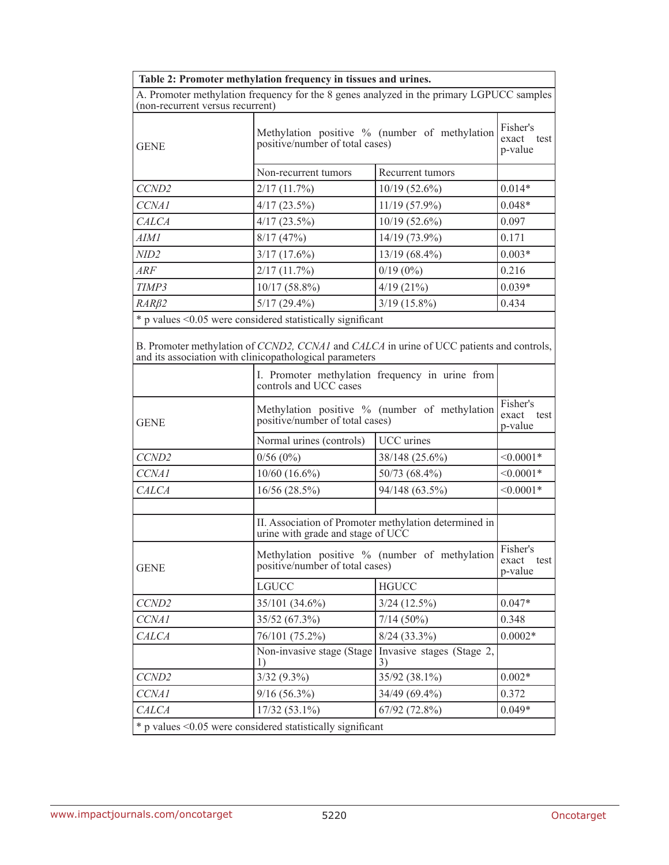|                                  | Table 2: Promoter methylation frequency in tissues and urines.                                                                                      |                                                       |             |  |  |  |  |  |  |
|----------------------------------|-----------------------------------------------------------------------------------------------------------------------------------------------------|-------------------------------------------------------|-------------|--|--|--|--|--|--|
| (non-recurrent versus recurrent) | A. Promoter methylation frequency for the 8 genes analyzed in the primary LGPUCC samples                                                            |                                                       |             |  |  |  |  |  |  |
| <b>GENE</b>                      | Methylation positive % (number of methylation<br>positive/number of total cases)                                                                    | Fisher's<br>exact test<br>p-value                     |             |  |  |  |  |  |  |
|                                  | Non-recurrent tumors                                                                                                                                | Recurrent tumors                                      |             |  |  |  |  |  |  |
| CCND <sub>2</sub>                | 2/17(11.7%)                                                                                                                                         | $0.014*$                                              |             |  |  |  |  |  |  |
| CCNA1                            | $4/17(23.5\%)$                                                                                                                                      | $11/19(57.9\%)$                                       | $0.048*$    |  |  |  |  |  |  |
| <b>CALCA</b>                     | $4/17(23.5\%)$                                                                                                                                      | $10/19(52.6\%)$                                       | 0.097       |  |  |  |  |  |  |
| AIMI                             | 8/17(47%)                                                                                                                                           | 14/19 (73.9%)                                         | 0.171       |  |  |  |  |  |  |
| <i>NID2</i>                      | $3/17(17.6\%)$                                                                                                                                      | 13/19 (68.4%)                                         | $0.003*$    |  |  |  |  |  |  |
| ARF                              | 2/17(11.7%)                                                                                                                                         | $0/19(0\%)$                                           | 0.216       |  |  |  |  |  |  |
| TIMP3                            | $10/17(58.8\%)$                                                                                                                                     | 4/19(21%)                                             | $0.039*$    |  |  |  |  |  |  |
| $RAR\beta2$                      | $5/17(29.4\%)$                                                                                                                                      | $3/19$ (15.8%)                                        | 0.434       |  |  |  |  |  |  |
|                                  | * p values < 0.05 were considered statistically significant                                                                                         |                                                       |             |  |  |  |  |  |  |
|                                  | B. Promoter methylation of CCND2, CCNA1 and CALCA in urine of UCC patients and controls,<br>and its association with clinicopathological parameters |                                                       |             |  |  |  |  |  |  |
|                                  | I. Promoter methylation frequency in urine from<br>controls and UCC cases                                                                           |                                                       |             |  |  |  |  |  |  |
| <b>GENE</b>                      | Methylation positive % (number of methylation<br>positive/number of total cases)                                                                    | Fisher's<br>exact test<br>p-value                     |             |  |  |  |  |  |  |
|                                  | Normal urines (controls)                                                                                                                            | UCC urines                                            |             |  |  |  |  |  |  |
| CCND <sub>2</sub>                | 0/56(0%)                                                                                                                                            | 38/148 (25.6%)                                        | $< 0.0001*$ |  |  |  |  |  |  |
| CCNA1                            | $10/60$ (16.6%)                                                                                                                                     | 50/73 (68.4%)                                         | $< 0.0001*$ |  |  |  |  |  |  |
| <b>CALCA</b>                     | 16/56 (28.5%)                                                                                                                                       | 94/148 (63.5%)                                        | $< 0.0001*$ |  |  |  |  |  |  |
|                                  |                                                                                                                                                     |                                                       |             |  |  |  |  |  |  |
|                                  | urine with grade and stage of UCC                                                                                                                   | II. Association of Promoter methylation determined in |             |  |  |  |  |  |  |
| <b>GENE</b>                      | Methylation positive % (number of methylation<br>positive/number of total cases)                                                                    | Fisher's<br>exact test<br>p-value                     |             |  |  |  |  |  |  |
|                                  | <b>LGUCC</b>                                                                                                                                        | <b>HGUCC</b>                                          |             |  |  |  |  |  |  |
| CCND <sub>2</sub>                | 35/101 (34.6%)                                                                                                                                      | $3/24$ (12.5%)                                        | $0.047*$    |  |  |  |  |  |  |
| CCNA1                            | 35/52 (67.3%)                                                                                                                                       | $7/14(50\%)$                                          | 0.348       |  |  |  |  |  |  |
| <b>CALCA</b>                     | 76/101 (75.2%)                                                                                                                                      | $8/24(33.3\%)$                                        | $0.0002*$   |  |  |  |  |  |  |
|                                  | Non-invasive stage (Stage)<br>1)                                                                                                                    | Invasive stages (Stage 2,<br>3)                       |             |  |  |  |  |  |  |
| CCND <sub>2</sub>                | $3/32(9.3\%)$                                                                                                                                       | 35/92 (38.1%)                                         | $0.002*$    |  |  |  |  |  |  |
| CCNA1                            | $9/16(56.3\%)$                                                                                                                                      | 34/49 (69.4%)                                         | 0.372       |  |  |  |  |  |  |
| CALCA                            | $17/32(53.1\%)$                                                                                                                                     | 67/92 (72.8%)                                         | $0.049*$    |  |  |  |  |  |  |
|                                  | * p values <0.05 were considered statistically significant                                                                                          |                                                       |             |  |  |  |  |  |  |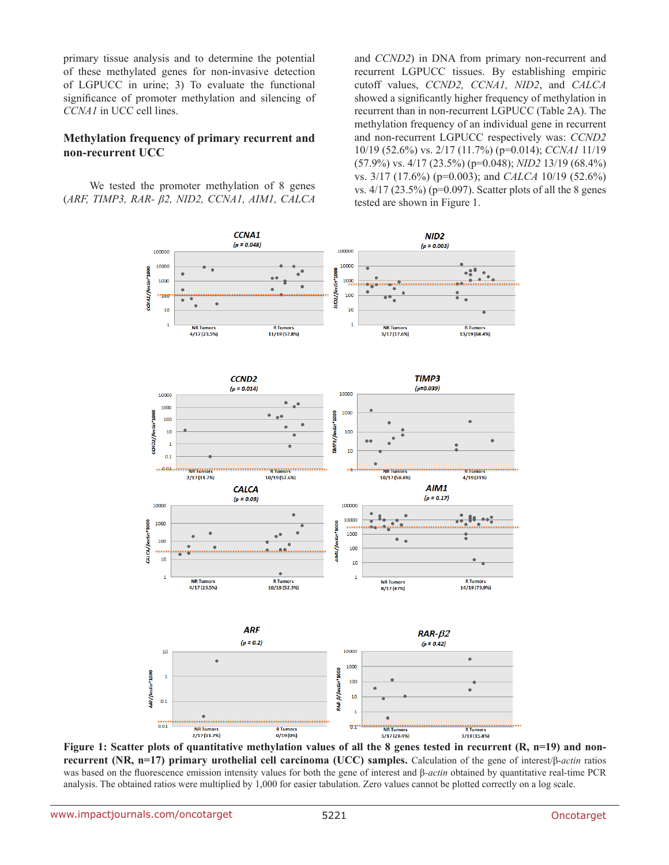primary tissue analysis and to determine the potential of these methylated genes for non-invasive detection of LGPUCC in urine; 3) To evaluate the functional significance of promoter methylation and silencing of *CCNA1* in UCC cell lines.

#### **Methylation frequency of primary recurrent and non-recurrent UCC**

We tested the promoter methylation of 8 genes (*ARF, TIMP3, RAR- β2, NID2, CCNA1, AIM1, CALCA*  and *CCND2*) in DNA from primary non-recurrent and recurrent LGPUCC tissues. By establishing empiric cutoff values, *CCND2, CCNA1, NID2*, and *CALCA* showed a significantly higher frequency of methylation in recurrent than in non-recurrent LGPUCC (Table 2A). The methylation frequency of an individual gene in recurrent and non-recurrent LGPUCC respectively was: *CCND2*  10/19 (52.6%) vs. 2/17 (11.7%) (p=0.014); *CCNA1* 11/19 (57.9%) vs. 4/17 (23.5%) (p=0.048); *NID2* 13/19 (68.4%) vs. 3/17 (17.6%) (p=0.003); and *CALCA* 10/19 (52.6%) vs.  $4/17$  (23.5%) (p=0.097). Scatter plots of all the 8 genes tested are shown in Figure 1.



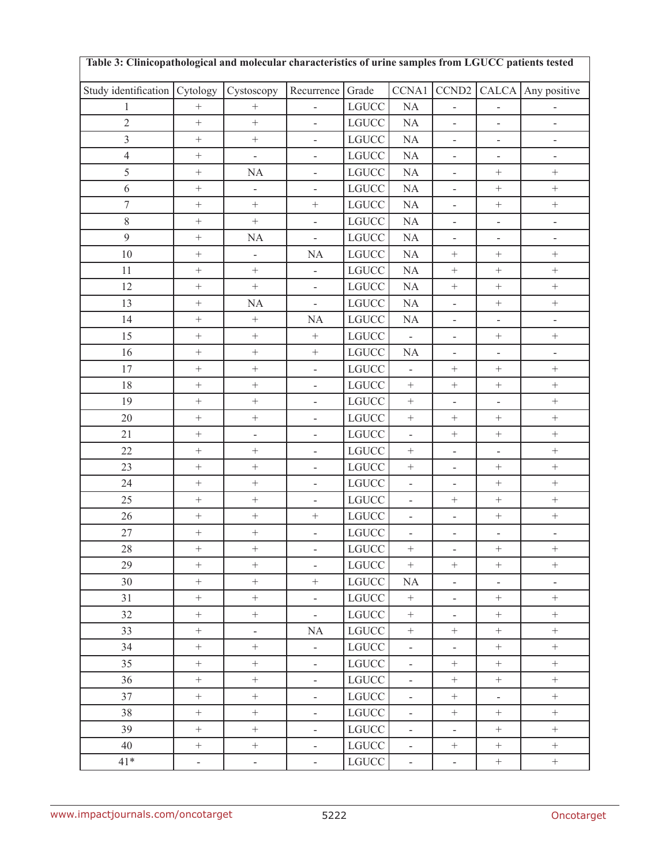| Table 3: Clinicopathological and molecular characteristics of urine samples from LGUCC patients tested |                  |                          |                          |                |                          |                           |                          |                          |
|--------------------------------------------------------------------------------------------------------|------------------|--------------------------|--------------------------|----------------|--------------------------|---------------------------|--------------------------|--------------------------|
| Study identification Cytology                                                                          |                  | Cystoscopy               | Recurrence               | Grade          | CCNA1                    | CCND <sub>2</sub>         | <b>CALCA</b>             | Any positive             |
| $\mathbf{1}$                                                                                           | $\boldsymbol{+}$ | $\! +$                   | $\overline{a}$           | $_{\rm LGUCC}$ | $\rm NA$                 | $\overline{a}$            | $\frac{1}{2}$            |                          |
| $\overline{2}$                                                                                         | $\overline{+}$   | $\boldsymbol{+}$         | $\overline{\phantom{a}}$ | $_{\rm LGUCC}$ | $\rm NA$                 | $\overline{a}$            | $\overline{a}$           | $\frac{1}{2}$            |
| $\overline{3}$                                                                                         | $\! +$           | $\boldsymbol{+}$         | $\Box$                   | $_{\rm LGUCC}$ | $\rm NA$                 | $\overline{\phantom{0}}$  | $\frac{1}{2}$            | $\overline{\phantom{0}}$ |
| $\overline{4}$                                                                                         | $\boldsymbol{+}$ | $\bar{\phantom{a}}$      | $\overline{a}$           | $_{\rm LGUCC}$ | $\rm NA$                 | $\overline{a}$            | $\frac{1}{2}$            | $\overline{\phantom{0}}$ |
| $\sqrt{5}$                                                                                             | $\boldsymbol{+}$ | NA                       | $\blacksquare$           | $_{\rm LGUCC}$ | $\rm NA$                 | $\overline{\phantom{0}}$  | $^+$                     | $\boldsymbol{+}$         |
| $\sqrt{6}$                                                                                             | $\boldsymbol{+}$ | $\overline{\phantom{a}}$ | $\blacksquare$           | $_{\rm LGUCC}$ | $\rm NA$                 | $\overline{a}$            | $\! + \!$                | $\ddot{}$                |
| $\tau$                                                                                                 | $\boldsymbol{+}$ | $\boldsymbol{+}$         | $\boldsymbol{+}$         | $_{\rm LGUCC}$ | $\rm NA$                 | $\blacksquare$            | $\! + \!$                | $\! +$                   |
| $8\,$                                                                                                  | $\boldsymbol{+}$ | $\boldsymbol{+}$         | $\blacksquare$           | $_{\rm LGUCC}$ | $\rm NA$                 | $\overline{\phantom{0}}$  | $\overline{\phantom{0}}$ | $\qquad \qquad -$        |
| 9                                                                                                      | $\boldsymbol{+}$ | NA                       | $\bar{\mathcal{L}}$      | $_{\rm LGUCC}$ | $\rm NA$                 | $\overline{\phantom{0}}$  | $\frac{1}{2}$            | $\overline{\phantom{0}}$ |
| $10\,$                                                                                                 | $\boldsymbol{+}$ | $\blacksquare$           | NA                       | $_{\rm LGUCC}$ | $\rm NA$                 | $\boldsymbol{+}$          | $\! + \!$                | $\boldsymbol{+}$         |
| 11                                                                                                     | $\boldsymbol{+}$ | $\boldsymbol{+}$         | $\overline{\phantom{a}}$ | $_{\rm LGUCC}$ | $\rm NA$                 | $\boldsymbol{+}$          | $\boldsymbol{+}$         | $\! +$                   |
| 12                                                                                                     | $\boldsymbol{+}$ | $\boldsymbol{+}$         | $\Box$                   | $_{\rm LGUCC}$ | $\rm NA$                 | $\ddot{}$                 | $\boldsymbol{+}$         | $\ddot{}$                |
| 13                                                                                                     | $\boldsymbol{+}$ | NA                       | $\bar{\mathcal{L}}$      | $_{\rm LGUCC}$ | $\rm NA$                 | $\overline{\phantom{0}}$  | $\qquad \qquad +$        | $\qquad \qquad +$        |
| 14                                                                                                     | $\boldsymbol{+}$ | $\boldsymbol{+}$         | NA                       | $_{\rm LGUCC}$ | NA                       | $\overline{a}$            | $\overline{a}$           | $\overline{\phantom{0}}$ |
| 15                                                                                                     | $\boldsymbol{+}$ | $\boldsymbol{+}$         | $\boldsymbol{+}$         | <b>LGUCC</b>   | $\mathbb{L}$             | $\overline{\phantom{a}}$  | $^+$                     | $\boldsymbol{+}$         |
| 16                                                                                                     | $\boldsymbol{+}$ |                          | $\qquad \qquad +$        | $_{\rm LGUCC}$ | NA                       | $\overline{\phantom{0}}$  | $\frac{1}{2}$            | $\overline{\phantom{0}}$ |
| 17                                                                                                     | $\boldsymbol{+}$ | $\boldsymbol{+}$         | $\overline{\phantom{a}}$ | <b>LGUCC</b>   | $\Box$                   | $\boldsymbol{+}$          | $\boldsymbol{+}$         | $\boldsymbol{+}$         |
| 18                                                                                                     | $\boldsymbol{+}$ | $\boldsymbol{+}$         | $\blacksquare$           | $_{\rm LGUCC}$ | $\boldsymbol{+}$         | $\boldsymbol{+}$          | $\boldsymbol{+}$         | $\boldsymbol{+}$         |
| 19                                                                                                     | $\boldsymbol{+}$ | $\boldsymbol{+}$         | $\Box$                   | $_{\rm LGUCC}$ | $\boldsymbol{+}$         | $\overline{a}$            | $\overline{a}$           | $\! +$                   |
| 20                                                                                                     | $\boldsymbol{+}$ | $\boldsymbol{+}$         | $\Box$                   | $_{\rm LGUCC}$ | $\! + \!$                | $\boldsymbol{+}$          | $\boldsymbol{+}$         |                          |
| 21                                                                                                     | $\boldsymbol{+}$ | $\overline{\phantom{a}}$ | $\Box$                   | $_{\rm LGUCC}$ | $\Box$                   | $\boldsymbol{+}$          | $\qquad \qquad +$        | $\ddot{}$                |
| 22                                                                                                     | $\! +$           | $\boldsymbol{+}$         | $\Box$                   | $_{\rm LGUCC}$ | $\boldsymbol{+}$         | $\overline{a}$            | $\overline{a}$           | $\ddot{}$                |
| 23                                                                                                     | $\boldsymbol{+}$ | $\boldsymbol{+}$         | $\blacksquare$           | $_{\rm LGUCC}$ | $\qquad \qquad +$        | $\overline{\phantom{a}}$  | $^+$                     | $+$                      |
| 24                                                                                                     | $\boldsymbol{+}$ |                          | $\frac{1}{2}$            | $_{\rm LGUCC}$ | $\overline{a}$           | $\overline{a}$            | $\boldsymbol{+}$         | $\ddot{}$                |
| 25                                                                                                     | $+$              | $\boldsymbol{+}$         | $\blacksquare$           | $_{\rm LGUCC}$ | $\overline{\phantom{a}}$ | $^+$                      | $\! +$                   | $\boldsymbol{+}$         |
| 26                                                                                                     | $\boldsymbol{+}$ | $\boldsymbol{+}$         | $\qquad \qquad +$        | $_{\rm LGUCC}$ | $\blacksquare$           | $\overline{a}$            | $\qquad \qquad +$        | $\qquad \qquad +$        |
| 27                                                                                                     | $\boldsymbol{+}$ | $\boldsymbol{+}$         | $\overline{\phantom{a}}$ | <b>LGUCC</b>   | $\blacksquare$           | $\overline{\phantom{a}}$  | $\Box$                   | $\qquad \qquad -$        |
| $28\,$                                                                                                 | $^+$             |                          | Ξ.                       | LGUCC          | $\boldsymbol{+}$         | $\overline{\phantom{a}}$  | $^+$                     |                          |
| 29                                                                                                     | $\! +$           | $\boldsymbol{+}$         | $\omega$                 | $_{\rm LGUCC}$ | $+$                      | $+$                       | $+$                      | $\! +$                   |
| 30                                                                                                     | $\boldsymbol{+}$ | $\boldsymbol{+}$         | $\boldsymbol{+}$         | <b>LGUCC</b>   | NA                       | $\overline{\phantom{a}}$  | $\blacksquare$           | $\overline{\phantom{a}}$ |
| 31                                                                                                     | $\boldsymbol{+}$ | $\boldsymbol{+}$         | $\omega$                 | $_{\rm LGUCC}$ | $\pm$                    | $\overline{\phantom{a}}$  | $\boldsymbol{+}$         | $^+$                     |
| 32                                                                                                     | $\boldsymbol{+}$ | $\boldsymbol{+}$         | $\omega_{\rm c}$         | $_{\rm LGUCC}$ | $\pm$                    | $\overline{\phantom{a}}$  | $\boldsymbol{+}$         | $^+$                     |
| 33                                                                                                     | $\boldsymbol{+}$ | $\blacksquare$           | NA                       | $_{\rm LGUCC}$ | $\boldsymbol{+}$         | $\boldsymbol{+}$          | $\boldsymbol{+}$         | $^+$                     |
| 34                                                                                                     | $+$              | $+$                      | $\omega$                 | $_{\rm LGUCC}$ | $\Box$                   | $\equiv$                  | $+$                      | $+$                      |
| 35                                                                                                     | $\boldsymbol{+}$ | $\boldsymbol{+}$         | $\equiv$                 | $_{\rm LGUCC}$ | $\overline{\phantom{a}}$ | $^{+}$                    | $\boldsymbol{+}$         | $\boldsymbol{+}$         |
| 36                                                                                                     | $\boldsymbol{+}$ | $\boldsymbol{+}$         | $\omega_{\rm c}$         | $_{\rm LGUCC}$ | $\Box$                   | $\boldsymbol{+}$          | $\boldsymbol{+}$         | $^+$                     |
| 37                                                                                                     | $\boldsymbol{+}$ | $\boldsymbol{+}$         | $\mathbb{Z}^d$           | $_{\rm LGUCC}$ | $\Box$                   | $\boldsymbol{+}$          | $\mathbb{L}$             | $^+$                     |
| 38                                                                                                     | $\boldsymbol{+}$ | $+$                      | $\mathbb{R}^2$           | $_{\rm LGUCC}$ | $\overline{\phantom{a}}$ | $\boldsymbol{+}$          | $^+$                     | $+$                      |
| 39                                                                                                     | $\boldsymbol{+}$ | $\boldsymbol{+}$         | $\equiv$                 | $_{\rm LGUCC}$ | $\Box$                   | $\mathbb{L}^{\mathbb{Z}}$ | $\boldsymbol{+}$         | $\boldsymbol{+}$         |
| 40                                                                                                     | $^+$             | $\boldsymbol{+}$         | $\omega_{\rm c}$         | $_{\rm LGUCC}$ | $\blacksquare$           | $\boldsymbol{+}$          | $\boldsymbol{+}$         | $\boldsymbol{+}$         |
| $41*$                                                                                                  | $\mathbb{L}$     | $\omega$                 | $\omega_{\rm c}$         | $_{\rm LGUCC}$ | $\Box$                   | $\mathbb{Z}^{\mathbb{Z}}$ | $\boldsymbol{+}$         | $\boldsymbol{+}$         |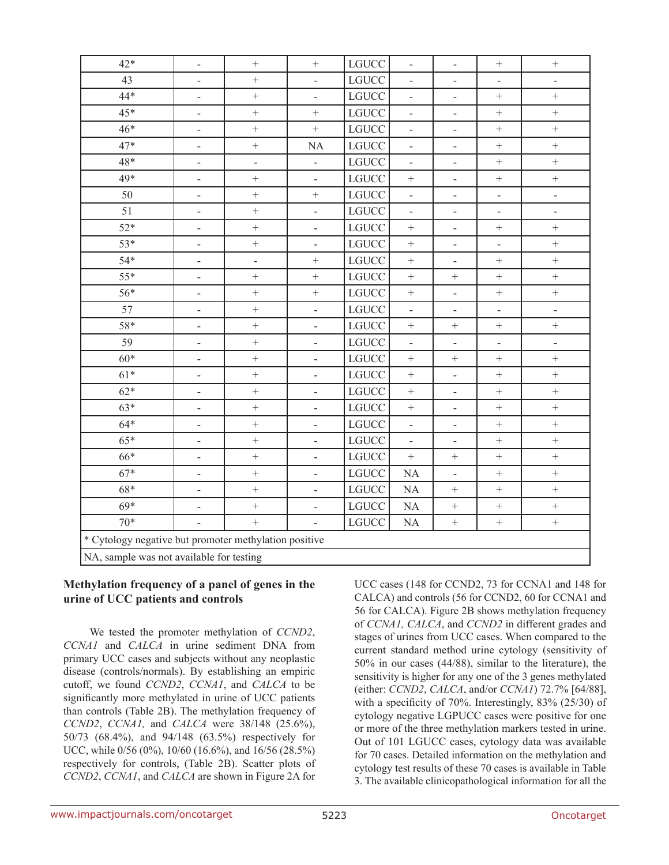| $42*$                                                 | $\blacksquare$               | $\qquad \qquad +$            | $\! + \!$                    | <b>LGUCC</b> | $\blacksquare$               | $\overline{\phantom{a}}$     | $\qquad \qquad +$        | $\qquad \qquad +$        |
|-------------------------------------------------------|------------------------------|------------------------------|------------------------------|--------------|------------------------------|------------------------------|--------------------------|--------------------------|
| 43                                                    | $\frac{1}{2}$                |                              | $\overline{\phantom{a}}$     | <b>LGUCC</b> | $\overline{\phantom{a}}$     | $\overline{\phantom{a}}$     |                          |                          |
| 44*                                                   | $\overline{\phantom{0}}$     | $\! + \!$                    | $\overline{\phantom{a}}$     | <b>LGUCC</b> | $\overline{\phantom{0}}$     | $\overline{\phantom{0}}$     | $^{+}$                   | $\ddot{}$                |
| $45*$                                                 | $\qquad \qquad -$            | $^+$                         |                              | <b>LGUCC</b> | $\blacksquare$               | $\qquad \qquad -$            | $\boldsymbol{+}$         | $\boldsymbol{+}$         |
| $46*$                                                 | $\qquad \qquad \blacksquare$ | $\ddot{}$                    | $\qquad \qquad +$            | <b>LGUCC</b> | $\qquad \qquad \blacksquare$ | $\overline{\phantom{m}}$     | $\qquad \qquad +$        | $\qquad \qquad +$        |
| 47*                                                   | $\qquad \qquad \blacksquare$ | $\! + \!$                    | <b>NA</b>                    | <b>LGUCC</b> | $\overline{\phantom{a}}$     | $\overline{\phantom{0}}$     | $\boldsymbol{+}$         | $\! + \!$                |
| 48*                                                   | $\qquad \qquad \blacksquare$ |                              | $\overline{\phantom{a}}$     | <b>LGUCC</b> | $\qquad \qquad \blacksquare$ | $\blacksquare$               | $\boldsymbol{+}$         |                          |
| 49*                                                   | $\overline{\phantom{0}}$     | $\! + \!$                    | $\overline{\phantom{a}}$     | <b>LGUCC</b> |                              | $\overline{\phantom{0}}$     |                          | $\! + \!$                |
| 50                                                    | $\blacksquare$               | $\! + \!$                    | $^{+}$                       | <b>LGUCC</b> | $\blacksquare$               | $\overline{\phantom{0}}$     | $\frac{1}{2}$            | $\overline{\phantom{0}}$ |
| 51                                                    | $\blacksquare$               | $\! + \!$                    | $\qquad \qquad \blacksquare$ | <b>LGUCC</b> | $\qquad \qquad \blacksquare$ | $\overline{\phantom{m}}$     | $\overline{\phantom{0}}$ | $\overline{\phantom{0}}$ |
| $52*$                                                 | $\overline{\phantom{a}}$     | $\boldsymbol{+}$             | $\overline{\phantom{a}}$     | <b>LGUCC</b> | $^+$                         | $\overline{\phantom{0}}$     |                          |                          |
| 53*                                                   | $\overline{a}$               | $^+$                         | $\overline{a}$               | <b>LGUCC</b> |                              | $\overline{a}$               | $\overline{a}$           | $\boldsymbol{+}$         |
| $54*$                                                 | $\overline{\phantom{0}}$     | $\qquad \qquad \blacksquare$ |                              | <b>LGUCC</b> |                              | $\overline{\phantom{0}}$     |                          | $\! + \!$                |
| $55*$                                                 | $\overline{\phantom{a}}$     | $\ddot{}$                    | $^{+}$                       | <b>LGUCC</b> | $\qquad \qquad +$            | $\! + \!$                    | $\qquad \qquad +$        | $\qquad \qquad +$        |
| 56*                                                   | $\blacksquare$               | $\ddot{}$                    | $\! +$                       | <b>LGUCC</b> |                              | $\overline{\phantom{0}}$     | $\! +$                   |                          |
| 57                                                    | $\qquad \qquad \blacksquare$ | $\! + \!$                    | $\qquad \qquad -$            | <b>LGUCC</b> | $\overline{\phantom{a}}$     | $\qquad \qquad \blacksquare$ | $\overline{\phantom{a}}$ | $\overline{\phantom{0}}$ |
| 58*                                                   | $\overline{\phantom{a}}$     | $\! + \!$                    | $\blacksquare$               | <b>LGUCC</b> |                              | $\boldsymbol{+}$             | $\! +$                   | $\! + \!$                |
| 59                                                    | $\qquad \qquad -$            | $\! + \!$                    | $\qquad \qquad \blacksquare$ | <b>LGUCC</b> | $\overline{\phantom{0}}$     | $\overline{\phantom{0}}$     | $\qquad \qquad -$        | $\overline{a}$           |
| $60*$                                                 | $\blacksquare$               | $\! + \!$                    | $\Box$                       | <b>LGUCC</b> | $\boldsymbol{+}$             | $\boldsymbol{+}$             | $\qquad \qquad +$        | $\qquad \qquad +$        |
| $61*$                                                 | $\blacksquare$               |                              | $\blacksquare$               | <b>LGUCC</b> |                              | $\overline{\phantom{m}}$     |                          |                          |
| $62*$                                                 | $\qquad \qquad -$            | $\! + \!$                    | $\overline{\phantom{a}}$     | <b>LGUCC</b> | $\! + \!$                    | $\overline{\phantom{a}}$     | $\qquad \qquad +$        | $\ddot{}$                |
| $63*$                                                 | $\qquad \qquad -$            | $\boldsymbol{+}$             | $\overline{a}$               | <b>LGUCC</b> |                              | $\qquad \qquad -$            | $\boldsymbol{+}$         |                          |
| $64*$                                                 | $\overline{\phantom{a}}$     | $\ddot{}$                    | $\qquad \qquad \blacksquare$ | <b>LGUCC</b> | $\qquad \qquad -$            | $\overline{\phantom{a}}$     | $\qquad \qquad +$        | $\qquad \qquad +$        |
| $65*$                                                 | $\overline{\phantom{a}}$     | $\! + \!$                    | $\overline{\phantom{a}}$     | <b>LGUCC</b> | $\overline{\phantom{a}}$     | $\blacksquare$               | $\boldsymbol{+}$         |                          |
| 66*                                                   | $\qquad \qquad -$            | $\! + \!$                    | $\overline{a}$               | <b>LGUCC</b> |                              | $\boldsymbol{+}$             | $^{+}$                   |                          |
| $67*$                                                 | $\qquad \qquad \blacksquare$ | $\! + \!$                    | $\overline{\phantom{a}}$     | <b>LGUCC</b> | <b>NA</b>                    | $\overline{\phantom{0}}$     | $\! +$                   | $\ddot{}$                |
| $68*$                                                 | $\blacksquare$               | $+$                          | $\overline{\phantom{a}}$     | LGUCC        | NA                           | $\boldsymbol{+}$             | $\ddot{}$                | $\ddot{}$                |
| $69*$                                                 | $\qquad \qquad \blacksquare$ | $\ddot{}$                    | $\overline{\phantom{a}}$     | <b>LGUCC</b> | <b>NA</b>                    | $\boldsymbol{+}$             | $^{+}$                   | $\ddot{}$                |
| $70*$                                                 | $\qquad \qquad -$            | $\ddot{}$                    | $\overline{\phantom{a}}$     | <b>LGUCC</b> | <b>NA</b>                    | $\boldsymbol{+}$             |                          | $\boldsymbol{+}$         |
| * Cytology negative but promoter methylation positive |                              |                              |                              |              |                              |                              |                          |                          |
| NA, sample was not available for testing              |                              |                              |                              |              |                              |                              |                          |                          |

#### **Methylation frequency of a panel of genes in the urine of UCC patients and controls**

We tested the promoter methylation of *CCND2*, *CCNA1* and *CALCA* in urine sediment DNA from primary UCC cases and subjects without any neoplastic disease (controls/normals). By establishing an empiric cutoff, we found *CCND2*, *CCNA1*, and *CALCA* to be significantly more methylated in urine of UCC patients than controls (Table 2B). The methylation frequency of *CCND2*, *CCNA1,* and *CALCA* were 38/148 (25.6%), 50/73 (68.4%), and 94/148 (63.5%) respectively for UCC, while 0/56 (0%), 10/60 (16.6%), and 16/56 (28.5%) respectively for controls, (Table 2B). Scatter plots of *CCND2*, *CCNA1*, and *CALCA* are shown in Figure 2A for

UCC cases (148 for CCND2, 73 for CCNA1 and 148 for CALCA) and controls (56 for CCND2, 60 for CCNA1 and 56 for CALCA). Figure 2B shows methylation frequency of *CCNA1, CALCA*, and *CCND2* in different grades and stages of urines from UCC cases. When compared to the current standard method urine cytology (sensitivity of 50% in our cases (44/88), similar to the literature), the sensitivity is higher for any one of the 3 genes methylated (either: *CCND2*, *CALCA*, and/or *CCNA1*) 72.7% [64/88], with a specificity of 70%. Interestingly, 83% (25/30) of cytology negative LGPUCC cases were positive for one or more of the three methylation markers tested in urine. Out of 101 LGUCC cases, cytology data was available for 70 cases. Detailed information on the methylation and cytology test results of these 70 cases is available in Table 3. The available clinicopathological information for all the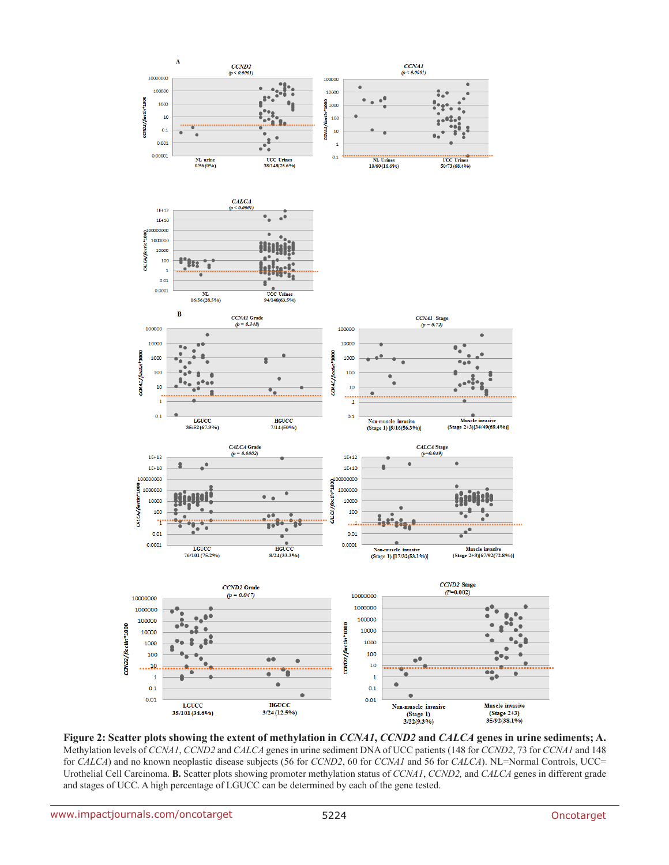

**Figure 2: Scatter plots showing the extent of methylation in** *CCNA1***,** *CCND2* **and** *CALCA* **genes in urine sediments; A.**  Methylation levels of *CCNA1*, *CCND2* and *CALCA* genes in urine sediment DNA of UCC patients (148 for *CCND2*, 73 for *CCNA1* and 148 for *CALCA*) and no known neoplastic disease subjects (56 for *CCND2*, 60 for *CCNA1* and 56 for *CALCA*). NL=Normal Controls, UCC= Urothelial Cell Carcinoma. **B.** Scatter plots showing promoter methylation status of *CCNA1*, *CCND2,* and *CALCA* genes in different grade and stages of UCC. A high percentage of LGUCC can be determined by each of the gene tested.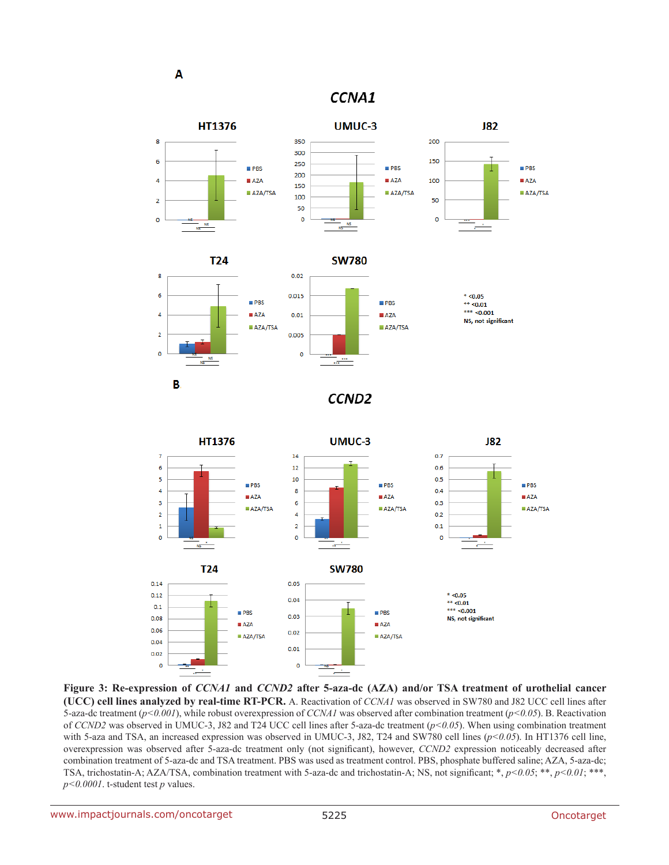A

### CCNA1



**Figure 3: Re-expression of** *CCNA1* **and** *CCND2* **after 5-aza-dc (AZA) and/or TSA treatment of urothelial cancer (UCC) cell lines analyzed by real-time RT-PCR.** A. Reactivation of *CCNA1* was observed in SW780 and J82 UCC cell lines after 5-aza-dc treatment (*p<0.001*), while robust overexpression of *CCNA1* was observed after combination treatment (*p<0.05*). B. Reactivation of *CCND2* was observed in UMUC-3, J82 and T24 UCC cell lines after 5-aza-dc treatment (*p<0.05*). When using combination treatment with 5-aza and TSA, an increased expression was observed in UMUC-3, J82, T24 and SW780 cell lines ( $p$ <0.05). In HT1376 cell line, overexpression was observed after 5-aza-dc treatment only (not significant), however, *CCND2* expression noticeably decreased after combination treatment of 5-aza-dc and TSA treatment. PBS was used as treatment control. PBS, phosphate buffered saline; AZA, 5-aza-dc; TSA, trichostatin-A; AZA/TSA, combination treatment with 5-aza-dc and trichostatin-A; NS, not significant; \*, *p<0.05*; \*\*, *p<0.01*; \*\*\*, *p<0.0001*. t-student test *p* values.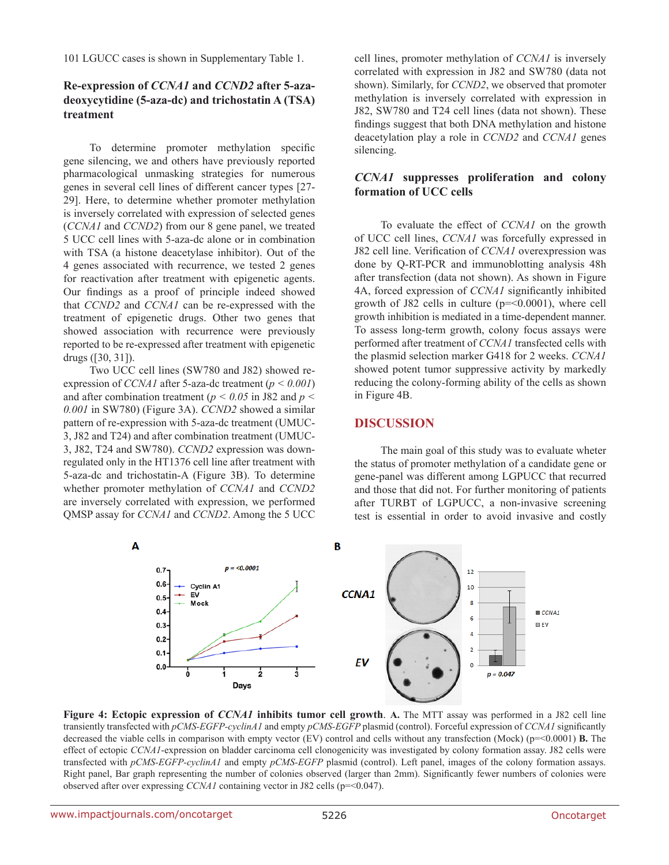101 LGUCC cases is shown in Supplementary Table 1.

### **Re-expression of** *CCNA1* **and** *CCND2* **after 5-azadeoxycytidine (5-aza-dc) and trichostatin A (TSA) treatment**

To determine promoter methylation specific gene silencing, we and others have previously reported pharmacological unmasking strategies for numerous genes in several cell lines of different cancer types [27- 29]. Here, to determine whether promoter methylation is inversely correlated with expression of selected genes (*CCNA1* and *CCND2*) from our 8 gene panel, we treated 5 UCC cell lines with 5-aza-dc alone or in combination with TSA (a histone deacetylase inhibitor). Out of the 4 genes associated with recurrence, we tested 2 genes for reactivation after treatment with epigenetic agents. Our findings as a proof of principle indeed showed that *CCND2* and *CCNA1* can be re-expressed with the treatment of epigenetic drugs. Other two genes that showed association with recurrence were previously reported to be re-expressed after treatment with epigenetic drugs ([30, 31]).

Two UCC cell lines (SW780 and J82) showed reexpression of *CCNA1* after 5-aza-dc treatment (*p < 0.001*) and after combination treatment (*p < 0.05* in J82 and *p < 0.001* in SW780) (Figure 3A). *CCND2* showed a similar pattern of re-expression with 5-aza-dc treatment (UMUC-3, J82 and T24) and after combination treatment (UMUC-3, J82, T24 and SW780). *CCND2* expression was downregulated only in the HT1376 cell line after treatment with 5-aza-dc and trichostatin-A (Figure 3B). To determine whether promoter methylation of *CCNA1* and *CCND2* are inversely correlated with expression, we performed QMSP assay for *CCNA1* and *CCND2*. Among the 5 UCC

cell lines, promoter methylation of *CCNA1* is inversely correlated with expression in J82 and SW780 (data not shown). Similarly, for *CCND2*, we observed that promoter methylation is inversely correlated with expression in J82, SW780 and T24 cell lines (data not shown). These findings suggest that both DNA methylation and histone deacetylation play a role in *CCND2* and *CCNA1* genes silencing.

#### *CCNA1* **suppresses proliferation and colony formation of UCC cells**

To evaluate the effect of *CCNA1* on the growth of UCC cell lines, *CCNA1* was forcefully expressed in J82 cell line. Verification of *CCNA1* overexpression was done by Q-RT-PCR and immunoblotting analysis 48h after transfection (data not shown). As shown in Figure 4A, forced expression of *CCNA1* significantly inhibited growth of J82 cells in culture  $(p=0.0001)$ , where cell growth inhibition is mediated in a time-dependent manner. To assess long-term growth, colony focus assays were performed after treatment of *CCNA1* transfected cells with the plasmid selection marker G418 for 2 weeks. *CCNA1* showed potent tumor suppressive activity by markedly reducing the colony-forming ability of the cells as shown in Figure 4B.

### **DISCUSSION**

The main goal of this study was to evaluate wheter the status of promoter methylation of a candidate gene or gene-panel was different among LGPUCC that recurred and those that did not. For further monitoring of patients after TURBT of LGPUCC, a non-invasive screening test is essential in order to avoid invasive and costly



**Figure 4: Ectopic expression of** *CCNA1* **inhibits tumor cell growth**. **A.** The MTT assay was performed in a J82 cell line transiently transfected with *pCMS-EGFP-cyclinA1* and empty *pCMS-EGFP* plasmid (control). Forceful expression of *CCNA1* significantly decreased the viable cells in comparison with empty vector (EV) control and cells without any transfection (Mock) (p=<0.0001) **B.** The effect of ectopic *CCNA1*-expression on bladder carcinoma cell clonogenicity was investigated by colony formation assay. J82 cells were transfected with *pCMS-EGFP-cyclinA1* and empty *pCMS-EGFP* plasmid (control). Left panel, images of the colony formation assays. Right panel, Bar graph representing the number of colonies observed (larger than 2mm). Significantly fewer numbers of colonies were observed after over expressing *CCNA1* containing vector in J82 cells (p=<0.047).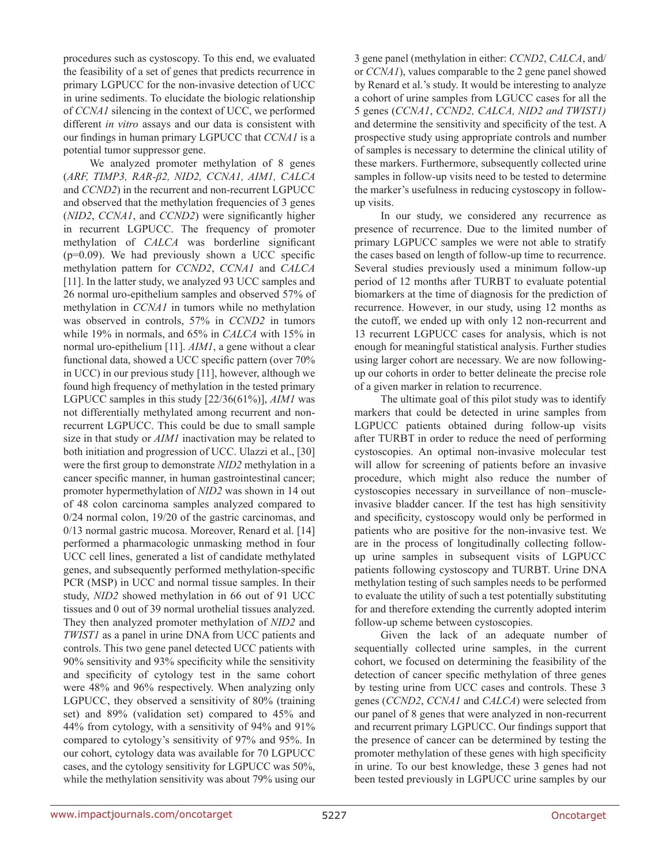procedures such as cystoscopy. To this end, we evaluated the feasibility of a set of genes that predicts recurrence in primary LGPUCC for the non-invasive detection of UCC in urine sediments. To elucidate the biologic relationship of *CCNA1* silencing in the context of UCC, we performed different *in vitro* assays and our data is consistent with our findings in human primary LGPUCC that *CCNA1* is a potential tumor suppressor gene.

We analyzed promoter methylation of 8 genes (*ARF, TIMP3, RAR-β2, NID2, CCNA1, AIM1, CALCA*  and *CCND2*) in the recurrent and non-recurrent LGPUCC and observed that the methylation frequencies of 3 genes (*NID2*, *CCNA1*, and *CCND2*) were significantly higher in recurrent LGPUCC. The frequency of promoter methylation of *CALCA* was borderline significant  $(p=0.09)$ . We had previously shown a UCC specific methylation pattern for *CCND2*, *CCNA1* and *CALCA* [11]. In the latter study, we analyzed 93 UCC samples and 26 normal uro-epithelium samples and observed 57% of methylation in *CCNA1* in tumors while no methylation was observed in controls, 57% in *CCND2* in tumors while 19% in normals, and 65% in *CALCA* with 15% in normal uro-epithelium [11]. *AIM1*, a gene without a clear functional data, showed a UCC specific pattern (over 70% in UCC) in our previous study [11], however, although we found high frequency of methylation in the tested primary LGPUCC samples in this study [22/36(61%)], *AIM1* was not differentially methylated among recurrent and nonrecurrent LGPUCC. This could be due to small sample size in that study or *AIM1* inactivation may be related to both initiation and progression of UCC. Ulazzi et al., [30] were the first group to demonstrate *NID2* methylation in a cancer specific manner, in human gastrointestinal cancer; promoter hypermethylation of *NID2* was shown in 14 out of 48 colon carcinoma samples analyzed compared to 0/24 normal colon, 19/20 of the gastric carcinomas, and 0/13 normal gastric mucosa. Moreover, Renard et al. [14] performed a pharmacologic unmasking method in four UCC cell lines, generated a list of candidate methylated genes, and subsequently performed methylation-specific PCR (MSP) in UCC and normal tissue samples. In their study, *NID2* showed methylation in 66 out of 91 UCC tissues and 0 out of 39 normal urothelial tissues analyzed. They then analyzed promoter methylation of *NID2* and *TWIST1* as a panel in urine DNA from UCC patients and controls. This two gene panel detected UCC patients with 90% sensitivity and 93% specificity while the sensitivity and specificity of cytology test in the same cohort were 48% and 96% respectively. When analyzing only LGPUCC, they observed a sensitivity of 80% (training set) and 89% (validation set) compared to 45% and 44% from cytology, with a sensitivity of 94% and 91% compared to cytology's sensitivity of 97% and 95%. In our cohort, cytology data was available for 70 LGPUCC cases, and the cytology sensitivity for LGPUCC was 50%, while the methylation sensitivity was about 79% using our

3 gene panel (methylation in either: *CCND2*, *CALCA*, and/ or *CCNA1*), values comparable to the 2 gene panel showed by Renard et al.'s study. It would be interesting to analyze a cohort of urine samples from LGUCC cases for all the 5 genes (*CCNA1*, *CCND2, CALCA, NID2 and TWIST1)*  and determine the sensitivity and specificity of the test. A prospective study using appropriate controls and number of samples is necessary to determine the clinical utility of these markers. Furthermore, subsequently collected urine samples in follow-up visits need to be tested to determine the marker's usefulness in reducing cystoscopy in followup visits.

In our study, we considered any recurrence as presence of recurrence. Due to the limited number of primary LGPUCC samples we were not able to stratify the cases based on length of follow-up time to recurrence. Several studies previously used a minimum follow-up period of 12 months after TURBT to evaluate potential biomarkers at the time of diagnosis for the prediction of recurrence. However, in our study, using 12 months as the cutoff, we ended up with only 12 non-recurrent and 13 recurrent LGPUCC cases for analysis, which is not enough for meaningful statistical analysis. Further studies using larger cohort are necessary. We are now followingup our cohorts in order to better delineate the precise role of a given marker in relation to recurrence.

The ultimate goal of this pilot study was to identify markers that could be detected in urine samples from LGPUCC patients obtained during follow-up visits after TURBT in order to reduce the need of performing cystoscopies. An optimal non-invasive molecular test will allow for screening of patients before an invasive procedure, which might also reduce the number of cystoscopies necessary in surveillance of non–muscleinvasive bladder cancer. If the test has high sensitivity and specificity, cystoscopy would only be performed in patients who are positive for the non-invasive test. We are in the process of longitudinally collecting followup urine samples in subsequent visits of LGPUCC patients following cystoscopy and TURBT. Urine DNA methylation testing of such samples needs to be performed to evaluate the utility of such a test potentially substituting for and therefore extending the currently adopted interim follow-up scheme between cystoscopies.

Given the lack of an adequate number of sequentially collected urine samples, in the current cohort, we focused on determining the feasibility of the detection of cancer specific methylation of three genes by testing urine from UCC cases and controls. These 3 genes (*CCND2*, *CCNA1* and *CALCA*) were selected from our panel of 8 genes that were analyzed in non-recurrent and recurrent primary LGPUCC. Our findings support that the presence of cancer can be determined by testing the promoter methylation of these genes with high specificity in urine. To our best knowledge, these 3 genes had not been tested previously in LGPUCC urine samples by our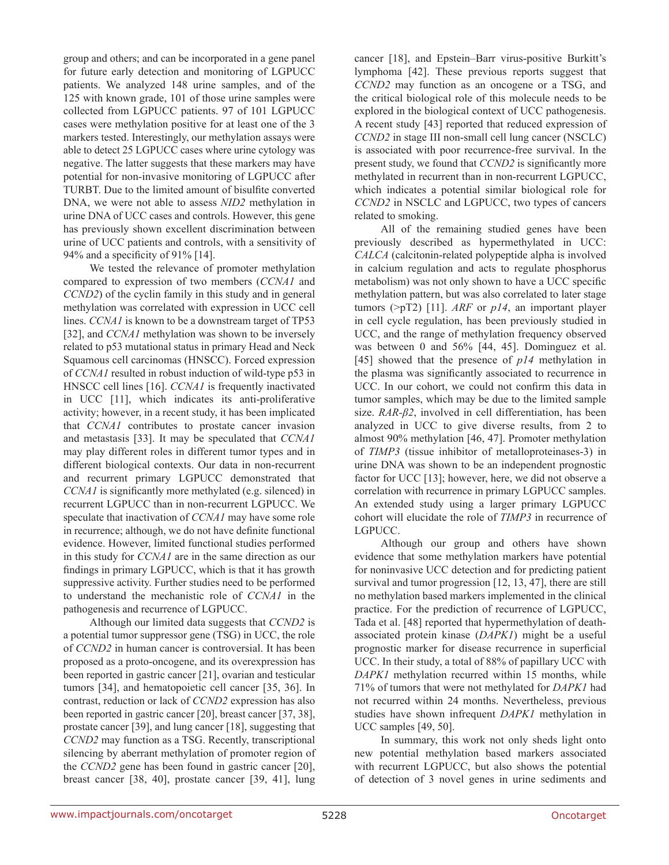group and others; and can be incorporated in a gene panel for future early detection and monitoring of LGPUCC patients. We analyzed 148 urine samples, and of the 125 with known grade, 101 of those urine samples were collected from LGPUCC patients. 97 of 101 LGPUCC cases were methylation positive for at least one of the 3 markers tested. Interestingly, our methylation assays were able to detect 25 LGPUCC cases where urine cytology was negative. The latter suggests that these markers may have potential for non-invasive monitoring of LGPUCC after TURBT. Due to the limited amount of bisulfite converted DNA, we were not able to assess *NID2* methylation in urine DNA of UCC cases and controls. However, this gene has previously shown excellent discrimination between urine of UCC patients and controls, with a sensitivity of 94% and a specificity of 91% [14].

We tested the relevance of promoter methylation compared to expression of two members (*CCNA1* and *CCND2*) of the cyclin family in this study and in general methylation was correlated with expression in UCC cell lines. *CCNA1* is known to be a downstream target of TP53 [32], and *CCNA1* methylation was shown to be inversely related to p53 mutational status in primary Head and Neck Squamous cell carcinomas (HNSCC). Forced expression of *CCNA1* resulted in robust induction of wild-type p53 in HNSCC cell lines [16]. *CCNA1* is frequently inactivated in UCC [11], which indicates its anti-proliferative activity; however, in a recent study, it has been implicated that *CCNA1* contributes to prostate cancer invasion and metastasis [33]. It may be speculated that *CCNA1* may play different roles in different tumor types and in different biological contexts. Our data in non-recurrent and recurrent primary LGPUCC demonstrated that *CCNA1* is significantly more methylated (e.g. silenced) in recurrent LGPUCC than in non-recurrent LGPUCC. We speculate that inactivation of *CCNA1* may have some role in recurrence; although, we do not have definite functional evidence. However, limited functional studies performed in this study for *CCNA1* are in the same direction as our findings in primary LGPUCC, which is that it has growth suppressive activity. Further studies need to be performed to understand the mechanistic role of *CCNA1* in the pathogenesis and recurrence of LGPUCC.

Although our limited data suggests that *CCND2* is a potential tumor suppressor gene (TSG) in UCC, the role of *CCND2* in human cancer is controversial. It has been proposed as a proto-oncogene, and its overexpression has been reported in gastric cancer [21], ovarian and testicular tumors [34], and hematopoietic cell cancer [35, 36]. In contrast, reduction or lack of *CCND2* expression has also been reported in gastric cancer [20], breast cancer [37, 38], prostate cancer [39], and lung cancer [18], suggesting that *CCND2* may function as a TSG. Recently, transcriptional silencing by aberrant methylation of promoter region of the *CCND2* gene has been found in gastric cancer [20], breast cancer [38, 40], prostate cancer [39, 41], lung

cancer [18], and Epstein–Barr virus-positive Burkitt's lymphoma [42]. These previous reports suggest that *CCND2* may function as an oncogene or a TSG, and the critical biological role of this molecule needs to be explored in the biological context of UCC pathogenesis. A recent study [43] reported that reduced expression of *CCND2* in stage III non-small cell lung cancer (NSCLC) is associated with poor recurrence-free survival. In the present study, we found that *CCND2* is significantly more methylated in recurrent than in non-recurrent LGPUCC, which indicates a potential similar biological role for *CCND2* in NSCLC and LGPUCC, two types of cancers related to smoking.

All of the remaining studied genes have been previously described as hypermethylated in UCC: *CALCA* (calcitonin-related polypeptide alpha is involved in calcium regulation and acts to regulate phosphorus metabolism) was not only shown to have a UCC specific methylation pattern, but was also correlated to later stage tumors (>pT2) [11]. *ARF* or *p14*, an important player in cell cycle regulation, has been previously studied in UCC, and the range of methylation frequency observed was between 0 and 56% [44, 45]. Dominguez et al. [45] showed that the presence of *p14* methylation in the plasma was significantly associated to recurrence in UCC. In our cohort, we could not confirm this data in tumor samples, which may be due to the limited sample size. *RAR-β2*, involved in cell differentiation, has been analyzed in UCC to give diverse results, from 2 to almost 90% methylation [46, 47]. Promoter methylation of *TIMP3* (tissue inhibitor of metalloproteinases-3) in urine DNA was shown to be an independent prognostic factor for UCC [13]; however, here, we did not observe a correlation with recurrence in primary LGPUCC samples. An extended study using a larger primary LGPUCC cohort will elucidate the role of *TIMP3* in recurrence of LGPUCC.

Although our group and others have shown evidence that some methylation markers have potential for noninvasive UCC detection and for predicting patient survival and tumor progression [12, 13, 47], there are still no methylation based markers implemented in the clinical practice. For the prediction of recurrence of LGPUCC, Tada et al. [48] reported that hypermethylation of deathassociated protein kinase (*DAPK1*) might be a useful prognostic marker for disease recurrence in superficial UCC. In their study, a total of 88% of papillary UCC with *DAPK1* methylation recurred within 15 months, while 71% of tumors that were not methylated for *DAPK1* had not recurred within 24 months. Nevertheless, previous studies have shown infrequent *DAPK1* methylation in UCC samples [49, 50].

In summary, this work not only sheds light onto new potential methylation based markers associated with recurrent LGPUCC, but also shows the potential of detection of 3 novel genes in urine sediments and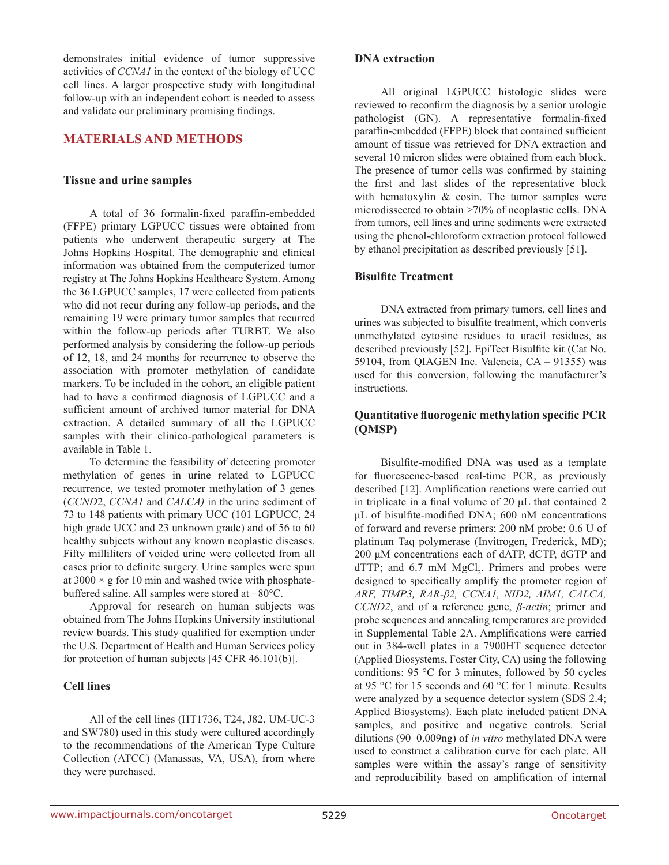demonstrates initial evidence of tumor suppressive activities of *CCNA1* in the context of the biology of UCC cell lines. A larger prospective study with longitudinal follow-up with an independent cohort is needed to assess and validate our preliminary promising findings.

### **MATERIALS AND METHODS**

#### **Tissue and urine samples**

A total of 36 formalin-fixed paraffin-embedded (FFPE) primary LGPUCC tissues were obtained from patients who underwent therapeutic surgery at The Johns Hopkins Hospital. The demographic and clinical information was obtained from the computerized tumor registry at The Johns Hopkins Healthcare System. Among the 36 LGPUCC samples, 17 were collected from patients who did not recur during any follow-up periods, and the remaining 19 were primary tumor samples that recurred within the follow-up periods after TURBT. We also performed analysis by considering the follow-up periods of 12, 18, and 24 months for recurrence to observe the association with promoter methylation of candidate markers. To be included in the cohort, an eligible patient had to have a confirmed diagnosis of LGPUCC and a sufficient amount of archived tumor material for DNA extraction. A detailed summary of all the LGPUCC samples with their clinico-pathological parameters is available in Table 1.

To determine the feasibility of detecting promoter methylation of genes in urine related to LGPUCC recurrence, we tested promoter methylation of 3 genes (*CCND*2, *CCNA1* and *CALCA)* in the urine sediment of 73 to 148 patients with primary UCC (101 LGPUCC, 24 high grade UCC and 23 unknown grade) and of 56 to 60 healthy subjects without any known neoplastic diseases. Fifty milliliters of voided urine were collected from all cases prior to definite surgery. Urine samples were spun at  $3000 \times g$  for 10 min and washed twice with phosphatebuffered saline. All samples were stored at −80°C.

Approval for research on human subjects was obtained from The Johns Hopkins University institutional review boards. This study qualified for exemption under the U.S. Department of Health and Human Services policy for protection of human subjects [45 CFR 46.101(b)].

#### **Cell lines**

All of the cell lines (HT1736, T24, J82, UM-UC-3 and SW780) used in this study were cultured accordingly to the recommendations of the American Type Culture Collection (ATCC) (Manassas, VA, USA), from where they were purchased.

#### **DNA extraction**

All original LGPUCC histologic slides were reviewed to reconfirm the diagnosis by a senior urologic pathologist (GN). A representative formalin-fixed paraffin-embedded (FFPE) block that contained sufficient amount of tissue was retrieved for DNA extraction and several 10 micron slides were obtained from each block. The presence of tumor cells was confirmed by staining the first and last slides of the representative block with hematoxylin & eosin. The tumor samples were microdissected to obtain >70% of neoplastic cells. DNA from tumors, cell lines and urine sediments were extracted using the phenol-chloroform extraction protocol followed by ethanol precipitation as described previously [51].

#### **Bisulfite Treatment**

DNA extracted from primary tumors, cell lines and urines was subjected to bisulfite treatment, which converts unmethylated cytosine residues to uracil residues, as described previously [52]. EpiTect Bisulfite kit (Cat No. 59104, from QIAGEN Inc. Valencia, CA – 91355) was used for this conversion, following the manufacturer's instructions.

#### **Quantitative fluorogenic methylation specific PCR (QMSP)**

Bisulfite-modified DNA was used as a template for fluorescence-based real-time PCR, as previously described [12]. Amplification reactions were carried out in triplicate in a final volume of 20 μL that contained 2 μL of bisulfite-modified DNA; 600 nM concentrations of forward and reverse primers; 200 nM probe; 0.6 U of platinum Taq polymerase (Invitrogen, Frederick, MD); 200 μM concentrations each of dATP, dCTP, dGTP and  $dTTP$ ; and 6.7 mM  $MgCl<sub>2</sub>$ . Primers and probes were designed to specifically amplify the promoter region of *ARF, TIMP3, RAR-β2, CCNA1, NID2, AIM1, CALCA, CCND2*, and of a reference gene, *β-actin*; primer and probe sequences and annealing temperatures are provided in Supplemental Table 2A. Amplifications were carried out in 384-well plates in a 7900HT sequence detector (Applied Biosystems, Foster City, CA) using the following conditions: 95 °C for 3 minutes, followed by 50 cycles at 95 °C for 15 seconds and 60 °C for 1 minute. Results were analyzed by a sequence detector system (SDS 2.4; Applied Biosystems). Each plate included patient DNA samples, and positive and negative controls. Serial dilutions (90–0.009ng) of *in vitro* methylated DNA were used to construct a calibration curve for each plate. All samples were within the assay's range of sensitivity and reproducibility based on amplification of internal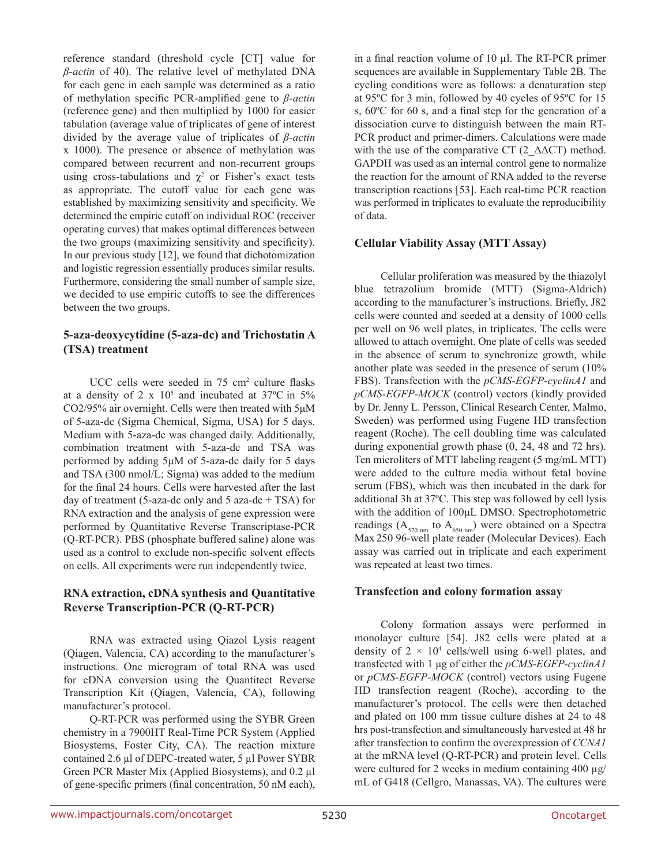reference standard (threshold cycle [CT] value for *β-actin* of 40). The relative level of methylated DNA for each gene in each sample was determined as a ratio of methylation specific PCR-amplified gene to *β-actin*  (reference gene) and then multiplied by 1000 for easier tabulation (average value of triplicates of gene of interest divided by the average value of triplicates of *β-actin*  x 1000). The presence or absence of methylation was compared between recurrent and non-recurrent groups using cross-tabulations and  $\chi^2$  or Fisher's exact tests as appropriate. The cutoff value for each gene was established by maximizing sensitivity and specificity. We determined the empiric cutoff on individual ROC (receiver operating curves) that makes optimal differences between the two groups (maximizing sensitivity and specificity). In our previous study [12], we found that dichotomization and logistic regression essentially produces similar results. Furthermore, considering the small number of sample size, we decided to use empiric cutoffs to see the differences between the two groups.

#### **5-aza-deoxycytidine (5-aza-dc) and Trichostatin A (TSA) treatment**

 $UCC$  cells were seeded in 75 cm<sup>2</sup> culture flasks at a density of 2  $\times$  10<sup>5</sup> and incubated at 37°C in 5% CO2/95% air overnight. Cells were then treated with 5μM of 5-aza-dc (Sigma Chemical, Sigma, USA) for 5 days. Medium with 5-aza-dc was changed daily. Additionally, combination treatment with 5-aza-dc and TSA was performed by adding 5μM of 5-aza-dc daily for 5 days and TSA (300 nmol/L; Sigma) was added to the medium for the final 24 hours. Cells were harvested after the last day of treatment (5-aza-dc only and 5 aza-dc + TSA) for RNA extraction and the analysis of gene expression were performed by Quantitative Reverse Transcriptase-PCR (Q-RT-PCR). PBS (phosphate buffered saline) alone was used as a control to exclude non-specific solvent effects on cells. All experiments were run independently twice.

### **RNA extraction, cDNA synthesis and Quantitative Reverse Transcription-PCR (Q-RT-PCR)**

RNA was extracted using Qiazol Lysis reagent (Qiagen, Valencia, CA) according to the manufacturer's instructions. One microgram of total RNA was used for cDNA conversion using the Quantitect Reverse Transcription Kit (Qiagen, Valencia, CA), following manufacturer's protocol.

Q-RT-PCR was performed using the SYBR Green chemistry in a 7900HT Real-Time PCR System (Applied Biosystems, Foster City, CA). The reaction mixture contained 2.6 µl of DEPC-treated water, 5 µl Power SYBR Green PCR Master Mix (Applied Biosystems), and 0.2 µl of gene-specific primers (final concentration, 50 nM each), in a final reaction volume of 10 µl. The RT-PCR primer sequences are available in Supplementary Table 2B. The cycling conditions were as follows: a denaturation step at 95ºC for 3 min, followed by 40 cycles of 95ºC for 15 s, 60ºC for 60 s, and a final step for the generation of a dissociation curve to distinguish between the main RT-PCR product and primer-dimers. Calculations were made with the use of the comparative CT (2  $\triangle \triangle$ CT) method. GAPDH was used as an internal control gene to normalize the reaction for the amount of RNA added to the reverse transcription reactions [53]. Each real-time PCR reaction was performed in triplicates to evaluate the reproducibility of data.

### **Cellular Viability Assay (MTT Assay)**

Cellular proliferation was measured by the thiazolyl blue tetrazolium bromide (MTT) (Sigma-Aldrich) according to the manufacturer's instructions. Briefly, J82 cells were counted and seeded at a density of 1000 cells per well on 96 well plates, in triplicates. The cells were allowed to attach overnight. One plate of cells was seeded in the absence of serum to synchronize growth, while another plate was seeded in the presence of serum (10% FBS). Transfection with the *pCMS-EGFP-cyclinA1* and *pCMS-EGFP-MOCK* (control) vectors (kindly provided by Dr. Jenny L. Persson, Clinical Research Center, Malmo, Sweden) was performed using Fugene HD transfection reagent (Roche). The cell doubling time was calculated during exponential growth phase (0, 24, 48 and 72 hrs). Ten microliters of MTT labeling reagent (5 mg/mL MTT) were added to the culture media without fetal bovine serum (FBS), which was then incubated in the dark for additional 3h at 37ºC. This step was followed by cell lysis with the addition of 100μL DMSO. Spectrophotometric readings ( $A_{570 \text{ nm}}$  to  $A_{650 \text{ nm}}$ ) were obtained on a Spectra Max 250 96-well plate reader (Molecular Devices). Each assay was carried out in triplicate and each experiment was repeated at least two times.

#### **Transfection and colony formation assay**

Colony formation assays were performed in monolayer culture [54]. J82 cells were plated at a density of  $2 \times 10^4$  cells/well using 6-well plates, and transfected with 1 μg of either the *pCMS-EGFP-cyclinA1* or *pCMS-EGFP-MOCK* (control) vectors using Fugene HD transfection reagent (Roche), according to the manufacturer's protocol. The cells were then detached and plated on 100 mm tissue culture dishes at 24 to 48 hrs post-transfection and simultaneously harvested at 48 hr after transfection to confirm the overexpression of *CCNA1* at the mRNA level (Q-RT-PCR) and protein level. Cells were cultured for 2 weeks in medium containing 400 µg/ mL of G418 (Cellgro, Manassas, VA). The cultures were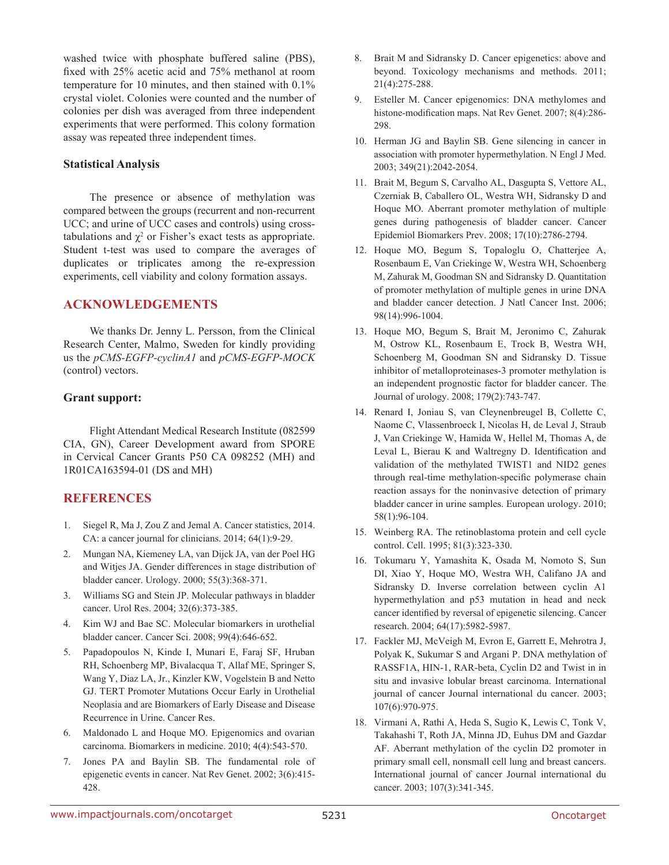washed twice with phosphate buffered saline (PBS), fixed with 25% acetic acid and 75% methanol at room temperature for 10 minutes, and then stained with 0.1% crystal violet. Colonies were counted and the number of colonies per dish was averaged from three independent experiments that were performed. This colony formation assay was repeated three independent times.

#### **Statistical Analysis**

The presence or absence of methylation was compared between the groups (recurrent and non-recurrent UCC; and urine of UCC cases and controls) using crosstabulations and  $\chi^2$  or Fisher's exact tests as appropriate. Student t-test was used to compare the averages of duplicates or triplicates among the re-expression experiments, cell viability and colony formation assays.

#### **ACKNOWLEDGEMENTS**

We thanks Dr. Jenny L. Persson, from the Clinical Research Center, Malmo, Sweden for kindly providing us the *pCMS-EGFP-cyclinA1* and *pCMS-EGFP-MOCK* (control) vectors.

#### **Grant support:**

Flight Attendant Medical Research Institute (082599 CIA, GN), Career Development award from SPORE in Cervical Cancer Grants P50 CA 098252 (MH) and 1R01CA163594-01 (DS and MH)

### **REFERENCES**

- 1. Siegel R, Ma J, Zou Z and Jemal A. Cancer statistics, 2014. CA: a cancer journal for clinicians. 2014; 64(1):9-29.
- 2. Mungan NA, Kiemeney LA, van Dijck JA, van der Poel HG and Witjes JA. Gender differences in stage distribution of bladder cancer. Urology. 2000; 55(3):368-371.
- 3. Williams SG and Stein JP. Molecular pathways in bladder cancer. Urol Res. 2004; 32(6):373-385.
- 4. Kim WJ and Bae SC. Molecular biomarkers in urothelial bladder cancer. Cancer Sci. 2008; 99(4):646-652.
- 5. Papadopoulos N, Kinde I, Munari E, Faraj SF, Hruban RH, Schoenberg MP, Bivalacqua T, Allaf ME, Springer S, Wang Y, Diaz LA, Jr., Kinzler KW, Vogelstein B and Netto GJ. TERT Promoter Mutations Occur Early in Urothelial Neoplasia and are Biomarkers of Early Disease and Disease Recurrence in Urine. Cancer Res.
- 6. Maldonado L and Hoque MO. Epigenomics and ovarian carcinoma. Biomarkers in medicine. 2010; 4(4):543-570.
- 7. Jones PA and Baylin SB. The fundamental role of epigenetic events in cancer. Nat Rev Genet. 2002; 3(6):415- 428.
- 8. Brait M and Sidransky D. Cancer epigenetics: above and beyond. Toxicology mechanisms and methods. 2011; 21(4):275-288.
- 9. Esteller M. Cancer epigenomics: DNA methylomes and histone-modification maps. Nat Rev Genet. 2007; 8(4):286- 298.
- 10. Herman JG and Baylin SB. Gene silencing in cancer in association with promoter hypermethylation. N Engl J Med. 2003; 349(21):2042-2054.
- 11. Brait M, Begum S, Carvalho AL, Dasgupta S, Vettore AL, Czerniak B, Caballero OL, Westra WH, Sidransky D and Hoque MO. Aberrant promoter methylation of multiple genes during pathogenesis of bladder cancer. Cancer Epidemiol Biomarkers Prev. 2008; 17(10):2786-2794.
- 12. Hoque MO, Begum S, Topaloglu O, Chatterjee A, Rosenbaum E, Van Criekinge W, Westra WH, Schoenberg M, Zahurak M, Goodman SN and Sidransky D. Quantitation of promoter methylation of multiple genes in urine DNA and bladder cancer detection. J Natl Cancer Inst. 2006; 98(14):996-1004.
- 13. Hoque MO, Begum S, Brait M, Jeronimo C, Zahurak M, Ostrow KL, Rosenbaum E, Trock B, Westra WH, Schoenberg M, Goodman SN and Sidransky D. Tissue inhibitor of metalloproteinases-3 promoter methylation is an independent prognostic factor for bladder cancer. The Journal of urology. 2008; 179(2):743-747.
- 14. Renard I, Joniau S, van Cleynenbreugel B, Collette C, Naome C, Vlassenbroeck I, Nicolas H, de Leval J, Straub J, Van Criekinge W, Hamida W, Hellel M, Thomas A, de Leval L, Bierau K and Waltregny D. Identification and validation of the methylated TWIST1 and NID2 genes through real-time methylation-specific polymerase chain reaction assays for the noninvasive detection of primary bladder cancer in urine samples. European urology. 2010; 58(1):96-104.
- 15. Weinberg RA. The retinoblastoma protein and cell cycle control. Cell. 1995; 81(3):323-330.
- 16. Tokumaru Y, Yamashita K, Osada M, Nomoto S, Sun DI, Xiao Y, Hoque MO, Westra WH, Califano JA and Sidransky D. Inverse correlation between cyclin A1 hypermethylation and p53 mutation in head and neck cancer identified by reversal of epigenetic silencing. Cancer research. 2004; 64(17):5982-5987.
- 17. Fackler MJ, McVeigh M, Evron E, Garrett E, Mehrotra J, Polyak K, Sukumar S and Argani P. DNA methylation of RASSF1A, HIN-1, RAR-beta, Cyclin D2 and Twist in in situ and invasive lobular breast carcinoma. International journal of cancer Journal international du cancer. 2003; 107(6):970-975.
- 18. Virmani A, Rathi A, Heda S, Sugio K, Lewis C, Tonk V, Takahashi T, Roth JA, Minna JD, Euhus DM and Gazdar AF. Aberrant methylation of the cyclin D2 promoter in primary small cell, nonsmall cell lung and breast cancers. International journal of cancer Journal international du cancer. 2003; 107(3):341-345.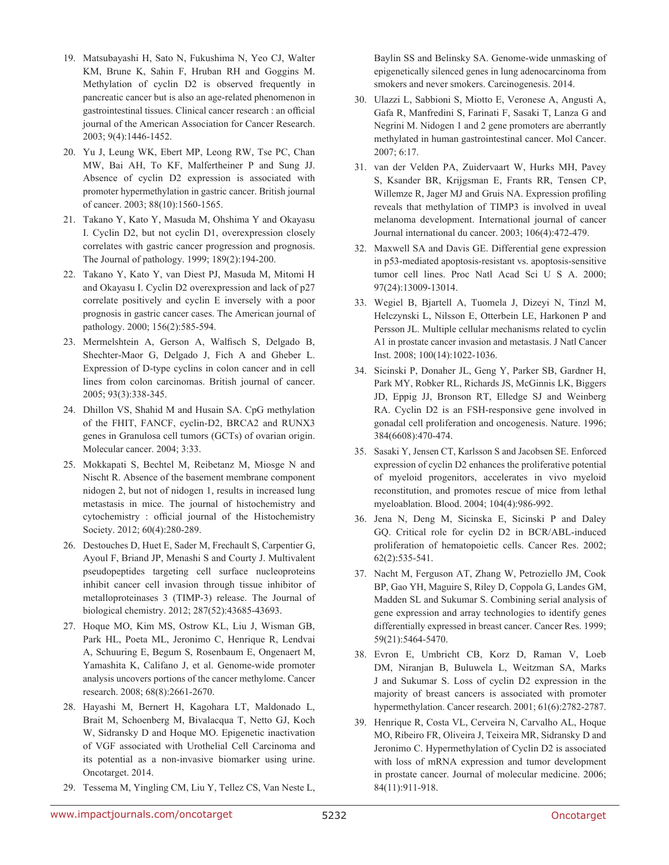- 19. Matsubayashi H, Sato N, Fukushima N, Yeo CJ, Walter KM, Brune K, Sahin F, Hruban RH and Goggins M. Methylation of cyclin D2 is observed frequently in pancreatic cancer but is also an age-related phenomenon in gastrointestinal tissues. Clinical cancer research : an official journal of the American Association for Cancer Research. 2003; 9(4):1446-1452.
- 20. Yu J, Leung WK, Ebert MP, Leong RW, Tse PC, Chan MW, Bai AH, To KF, Malfertheiner P and Sung JJ. Absence of cyclin D2 expression is associated with promoter hypermethylation in gastric cancer. British journal of cancer. 2003; 88(10):1560-1565.
- 21. Takano Y, Kato Y, Masuda M, Ohshima Y and Okayasu I. Cyclin D2, but not cyclin D1, overexpression closely correlates with gastric cancer progression and prognosis. The Journal of pathology. 1999; 189(2):194-200.
- 22. Takano Y, Kato Y, van Diest PJ, Masuda M, Mitomi H and Okayasu I. Cyclin D2 overexpression and lack of p27 correlate positively and cyclin E inversely with a poor prognosis in gastric cancer cases. The American journal of pathology. 2000; 156(2):585-594.
- 23. Mermelshtein A, Gerson A, Walfisch S, Delgado B, Shechter-Maor G, Delgado J, Fich A and Gheber L. Expression of D-type cyclins in colon cancer and in cell lines from colon carcinomas. British journal of cancer. 2005; 93(3):338-345.
- 24. Dhillon VS, Shahid M and Husain SA. CpG methylation of the FHIT, FANCF, cyclin-D2, BRCA2 and RUNX3 genes in Granulosa cell tumors (GCTs) of ovarian origin. Molecular cancer. 2004; 3:33.
- 25. Mokkapati S, Bechtel M, Reibetanz M, Miosge N and Nischt R. Absence of the basement membrane component nidogen 2, but not of nidogen 1, results in increased lung metastasis in mice. The journal of histochemistry and cytochemistry : official journal of the Histochemistry Society. 2012; 60(4):280-289.
- 26. Destouches D, Huet E, Sader M, Frechault S, Carpentier G, Ayoul F, Briand JP, Menashi S and Courty J. Multivalent pseudopeptides targeting cell surface nucleoproteins inhibit cancer cell invasion through tissue inhibitor of metalloproteinases 3 (TIMP-3) release. The Journal of biological chemistry. 2012; 287(52):43685-43693.
- 27. Hoque MO, Kim MS, Ostrow KL, Liu J, Wisman GB, Park HL, Poeta ML, Jeronimo C, Henrique R, Lendvai A, Schuuring E, Begum S, Rosenbaum E, Ongenaert M, Yamashita K, Califano J, et al. Genome-wide promoter analysis uncovers portions of the cancer methylome. Cancer research. 2008; 68(8):2661-2670.
- 28. Hayashi M, Bernert H, Kagohara LT, Maldonado L, Brait M, Schoenberg M, Bivalacqua T, Netto GJ, Koch W, Sidransky D and Hoque MO. Epigenetic inactivation of VGF associated with Urothelial Cell Carcinoma and its potential as a non-invasive biomarker using urine. Oncotarget. 2014.
- 29. Tessema M, Yingling CM, Liu Y, Tellez CS, Van Neste L,

Baylin SS and Belinsky SA. Genome-wide unmasking of epigenetically silenced genes in lung adenocarcinoma from smokers and never smokers. Carcinogenesis. 2014.

- 30. Ulazzi L, Sabbioni S, Miotto E, Veronese A, Angusti A, Gafa R, Manfredini S, Farinati F, Sasaki T, Lanza G and Negrini M. Nidogen 1 and 2 gene promoters are aberrantly methylated in human gastrointestinal cancer. Mol Cancer. 2007; 6:17.
- 31. van der Velden PA, Zuidervaart W, Hurks MH, Pavey S, Ksander BR, Krijgsman E, Frants RR, Tensen CP, Willemze R, Jager MJ and Gruis NA. Expression profiling reveals that methylation of TIMP3 is involved in uveal melanoma development. International journal of cancer Journal international du cancer. 2003; 106(4):472-479.
- 32. Maxwell SA and Davis GE. Differential gene expression in p53-mediated apoptosis-resistant vs. apoptosis-sensitive tumor cell lines. Proc Natl Acad Sci U S A. 2000; 97(24):13009-13014.
- 33. Wegiel B, Bjartell A, Tuomela J, Dizeyi N, Tinzl M, Helczynski L, Nilsson E, Otterbein LE, Harkonen P and Persson JL. Multiple cellular mechanisms related to cyclin A1 in prostate cancer invasion and metastasis. J Natl Cancer Inst. 2008; 100(14):1022-1036.
- 34. Sicinski P, Donaher JL, Geng Y, Parker SB, Gardner H, Park MY, Robker RL, Richards JS, McGinnis LK, Biggers JD, Eppig JJ, Bronson RT, Elledge SJ and Weinberg RA. Cyclin D2 is an FSH-responsive gene involved in gonadal cell proliferation and oncogenesis. Nature. 1996; 384(6608):470-474.
- 35. Sasaki Y, Jensen CT, Karlsson S and Jacobsen SE. Enforced expression of cyclin D2 enhances the proliferative potential of myeloid progenitors, accelerates in vivo myeloid reconstitution, and promotes rescue of mice from lethal myeloablation. Blood. 2004; 104(4):986-992.
- 36. Jena N, Deng M, Sicinska E, Sicinski P and Daley GQ. Critical role for cyclin D2 in BCR/ABL-induced proliferation of hematopoietic cells. Cancer Res. 2002; 62(2):535-541.
- 37. Nacht M, Ferguson AT, Zhang W, Petroziello JM, Cook BP, Gao YH, Maguire S, Riley D, Coppola G, Landes GM, Madden SL and Sukumar S. Combining serial analysis of gene expression and array technologies to identify genes differentially expressed in breast cancer. Cancer Res. 1999; 59(21):5464-5470.
- 38. Evron E, Umbricht CB, Korz D, Raman V, Loeb DM, Niranjan B, Buluwela L, Weitzman SA, Marks J and Sukumar S. Loss of cyclin D2 expression in the majority of breast cancers is associated with promoter hypermethylation. Cancer research. 2001; 61(6):2782-2787.
- 39. Henrique R, Costa VL, Cerveira N, Carvalho AL, Hoque MO, Ribeiro FR, Oliveira J, Teixeira MR, Sidransky D and Jeronimo C. Hypermethylation of Cyclin D2 is associated with loss of mRNA expression and tumor development in prostate cancer. Journal of molecular medicine. 2006; 84(11):911-918.